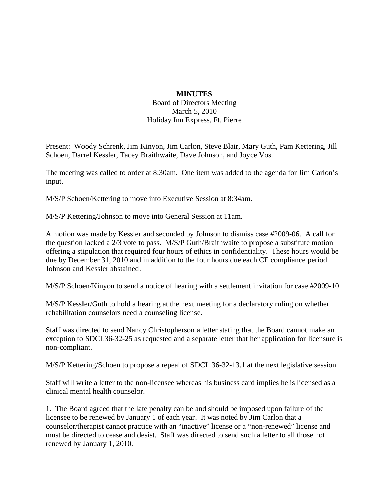## **MINUTES**

Board of Directors Meeting March 5, 2010 Holiday Inn Express, Ft. Pierre

Present: Woody Schrenk, Jim Kinyon, Jim Carlon, Steve Blair, Mary Guth, Pam Kettering, Jill Schoen, Darrel Kessler, Tacey Braithwaite, Dave Johnson, and Joyce Vos.

The meeting was called to order at 8:30am. One item was added to the agenda for Jim Carlon's input.

M/S/P Schoen/Kettering to move into Executive Session at 8:34am.

M/S/P Kettering/Johnson to move into General Session at 11am.

A motion was made by Kessler and seconded by Johnson to dismiss case #2009-06. A call for the question lacked a 2/3 vote to pass. M/S/P Guth/Braithwaite to propose a substitute motion offering a stipulation that required four hours of ethics in confidentiality. These hours would be due by December 31, 2010 and in addition to the four hours due each CE compliance period. Johnson and Kessler abstained.

M/S/P Schoen/Kinyon to send a notice of hearing with a settlement invitation for case #2009-10.

M/S/P Kessler/Guth to hold a hearing at the next meeting for a declaratory ruling on whether rehabilitation counselors need a counseling license.

Staff was directed to send Nancy Christopherson a letter stating that the Board cannot make an exception to SDCL36-32-25 as requested and a separate letter that her application for licensure is non-compliant.

M/S/P Kettering/Schoen to propose a repeal of SDCL 36-32-13.1 at the next legislative session.

Staff will write a letter to the non-licensee whereas his business card implies he is licensed as a clinical mental health counselor.

1. The Board agreed that the late penalty can be and should be imposed upon failure of the licensee to be renewed by January 1 of each year. It was noted by Jim Carlon that a counselor/therapist cannot practice with an "inactive" license or a "non-renewed" license and must be directed to cease and desist. Staff was directed to send such a letter to all those not renewed by January 1, 2010.